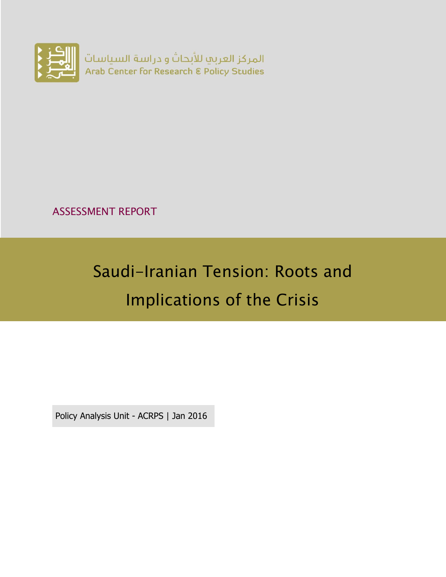

ASSESSMENT REPORT

# Saudi-Iranian Tension: Roots and Implications of the Crisis

Policy Analysis Unit - ACRPS | Jan 2016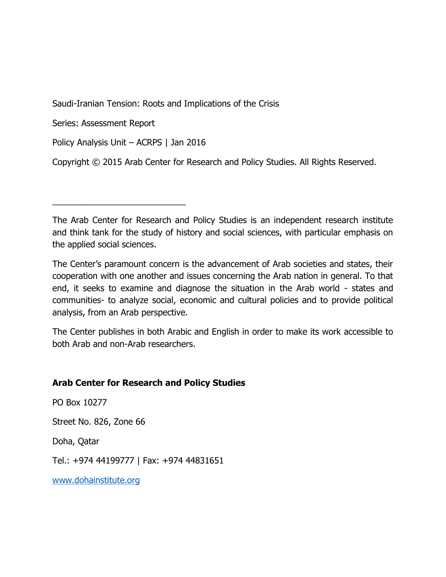Saudi-Iranian Tension: Roots and Implications of the Crisis

Series: Assessment Report

Policy Analysis Unit – ACRPS | Jan 2016

\_\_\_\_\_\_\_\_\_\_\_\_\_\_\_\_\_\_\_\_\_\_\_\_\_\_\_\_

Copyright © 2015 Arab Center for Research and Policy Studies. All Rights Reserved.

The Arab Center for Research and Policy Studies is an independent research institute and think tank for the study of history and social sciences, with particular emphasis on the applied social sciences.

The Center's paramount concern is the advancement of Arab societies and states, their cooperation with one another and issues concerning the Arab nation in general. To that end, it seeks to examine and diagnose the situation in the Arab world - states and communities- to analyze social, economic and cultural policies and to provide political analysis, from an Arab perspective.

The Center publishes in both Arabic and English in order to make its work accessible to both Arab and non-Arab researchers.

#### **Arab Center for Research and Policy Studies**

PO Box 10277

Street No. 826, Zone 66

Doha, Qatar

Tel.: +974 44199777 | Fax: +974 44831651

[www.dohainstitute.org](file:///C:/Users/dena.qaddumi/Desktop/www.dohainstitute.org)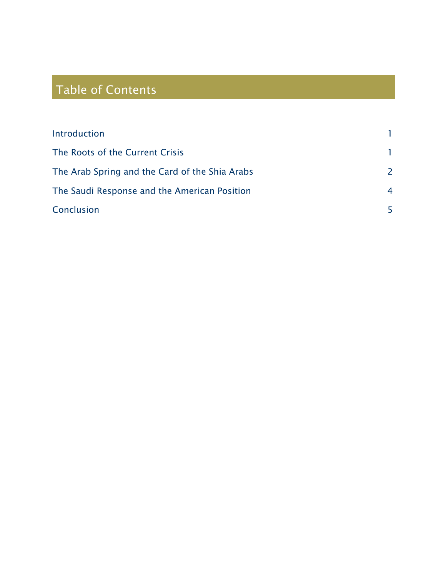## Table of Contents

| Introduction                                   |                |
|------------------------------------------------|----------------|
| The Roots of the Current Crisis                |                |
| The Arab Spring and the Card of the Shia Arabs | 2              |
| The Saudi Response and the American Position   | $\overline{4}$ |
| Conclusion                                     |                |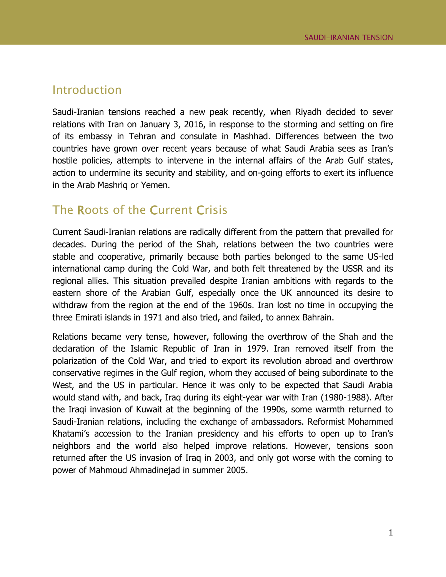#### <span id="page-4-0"></span>Introduction

Saudi-Iranian tensions reached a new peak recently, when Riyadh decided to sever relations with Iran on January 3, 2016, in response to the storming and setting on fire of its embassy in Tehran and consulate in Mashhad. Differences between the two countries have grown over recent years because of what Saudi Arabia sees as Iran's hostile policies, attempts to intervene in the internal affairs of the Arab Gulf states, action to undermine its security and stability, and on-going efforts to exert its influence in the Arab Mashriq or Yemen.

### <span id="page-4-1"></span>The Roots of the Current Crisis

Current Saudi-Iranian relations are radically different from the pattern that prevailed for decades. During the period of the Shah, relations between the two countries were stable and cooperative, primarily because both parties belonged to the same US-led international camp during the Cold War, and both felt threatened by the USSR and its regional allies. This situation prevailed despite Iranian ambitions with regards to the eastern shore of the Arabian Gulf, especially once the UK announced its desire to withdraw from the region at the end of the 1960s. Iran lost no time in occupying the three Emirati islands in 1971 and also tried, and failed, to annex Bahrain.

Relations became very tense, however, following the overthrow of the Shah and the declaration of the Islamic Republic of Iran in 1979. Iran removed itself from the polarization of the Cold War, and tried to export its revolution abroad and overthrow conservative regimes in the Gulf region, whom they accused of being subordinate to the West, and the US in particular. Hence it was only to be expected that Saudi Arabia would stand with, and back, Iraq during its eight-year war with Iran (1980-1988). After the Iraqi invasion of Kuwait at the beginning of the 1990s, some warmth returned to Saudi-Iranian relations, including the exchange of ambassadors. Reformist Mohammed Khatami's accession to the Iranian presidency and his efforts to open up to Iran's neighbors and the world also helped improve relations. However, tensions soon returned after the US invasion of Iraq in 2003, and only got worse with the coming to power of Mahmoud Ahmadinejad in summer 2005.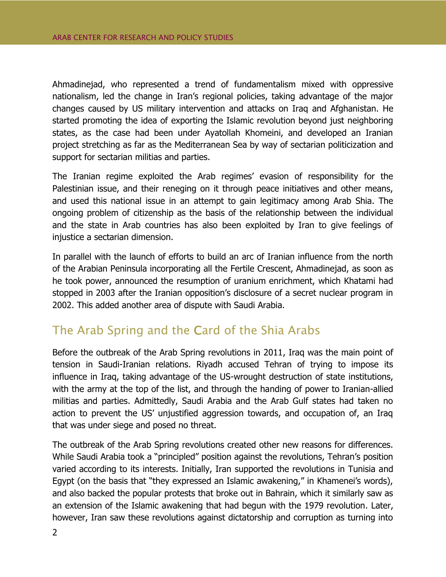Ahmadinejad, who represented a trend of fundamentalism mixed with oppressive nationalism, led the change in Iran's regional policies, taking advantage of the major changes caused by US military intervention and attacks on Iraq and Afghanistan. He started promoting the idea of exporting the Islamic revolution beyond just neighboring states, as the case had been under Ayatollah Khomeini, and developed an Iranian project stretching as far as the Mediterranean Sea by way of sectarian politicization and support for sectarian militias and parties.

The Iranian regime exploited the Arab regimes' evasion of responsibility for the Palestinian issue, and their reneging on it through peace initiatives and other means, and used this national issue in an attempt to gain legitimacy among Arab Shia. The ongoing problem of citizenship as the basis of the relationship between the individual and the state in Arab countries has also been exploited by Iran to give feelings of injustice a sectarian dimension.

In parallel with the launch of efforts to build an arc of Iranian influence from the north of the Arabian Peninsula incorporating all the Fertile Crescent, Ahmadinejad, as soon as he took power, announced the resumption of uranium enrichment, which Khatami had stopped in 2003 after the Iranian opposition's disclosure of a secret nuclear program in 2002. This added another area of dispute with Saudi Arabia.

#### <span id="page-5-0"></span>The Arab Spring and the Card of the Shia Arabs

Before the outbreak of the Arab Spring revolutions in 2011, Iraq was the main point of tension in Saudi-Iranian relations. Riyadh accused Tehran of trying to impose its influence in Iraq, taking advantage of the US-wrought destruction of state institutions, with the army at the top of the list, and through the handing of power to Iranian-allied militias and parties. Admittedly, Saudi Arabia and the Arab Gulf states had taken no action to prevent the US' unjustified aggression towards, and occupation of, an Iraq that was under siege and posed no threat.

The outbreak of the Arab Spring revolutions created other new reasons for differences. While Saudi Arabia took a "principled" position against the revolutions, Tehran's position varied according to its interests. Initially, Iran supported the revolutions in Tunisia and Egypt (on the basis that "they expressed an Islamic awakening," in Khamenei's words), and also backed the popular protests that broke out in Bahrain, which it similarly saw as an extension of the Islamic awakening that had begun with the 1979 revolution. Later, however, Iran saw these revolutions against dictatorship and corruption as turning into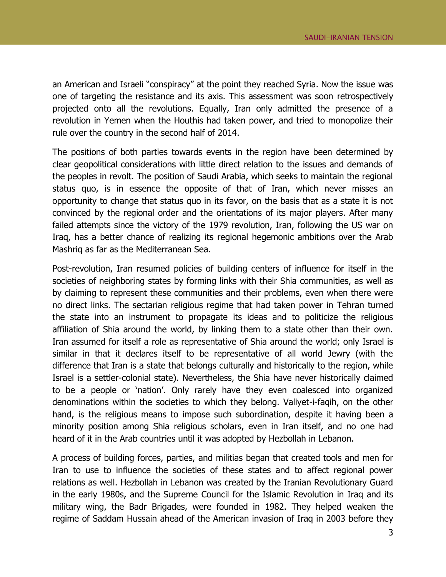an American and Israeli "conspiracy" at the point they reached Syria. Now the issue was one of targeting the resistance and its axis. This assessment was soon retrospectively projected onto all the revolutions. Equally, Iran only admitted the presence of a revolution in Yemen when the Houthis had taken power, and tried to monopolize their rule over the country in the second half of 2014.

The positions of both parties towards events in the region have been determined by clear geopolitical considerations with little direct relation to the issues and demands of the peoples in revolt. The position of Saudi Arabia, which seeks to maintain the regional status quo, is in essence the opposite of that of Iran, which never misses an opportunity to change that status quo in its favor, on the basis that as a state it is not convinced by the regional order and the orientations of its major players. After many failed attempts since the victory of the 1979 revolution, Iran, following the US war on Iraq, has a better chance of realizing its regional hegemonic ambitions over the Arab Mashriq as far as the Mediterranean Sea.

Post-revolution, Iran resumed policies of building centers of influence for itself in the societies of neighboring states by forming links with their Shia communities, as well as by claiming to represent these communities and their problems, even when there were no direct links. The sectarian religious regime that had taken power in Tehran turned the state into an instrument to propagate its ideas and to politicize the religious affiliation of Shia around the world, by linking them to a state other than their own. Iran assumed for itself a role as representative of Shia around the world; only Israel is similar in that it declares itself to be representative of all world Jewry (with the difference that Iran is a state that belongs culturally and historically to the region, while Israel is a settler-colonial state). Nevertheless, the Shia have never historically claimed to be a people or 'nation'. Only rarely have they even coalesced into organized denominations within the societies to which they belong. Valiyet-i-faqih, on the other hand, is the religious means to impose such subordination, despite it having been a minority position among Shia religious scholars, even in Iran itself, and no one had heard of it in the Arab countries until it was adopted by Hezbollah in Lebanon.

A process of building forces, parties, and militias began that created tools and men for Iran to use to influence the societies of these states and to affect regional power relations as well. Hezbollah in Lebanon was created by the Iranian Revolutionary Guard in the early 1980s, and the Supreme Council for the Islamic Revolution in Iraq and its military wing, the Badr Brigades, were founded in 1982. They helped weaken the regime of Saddam Hussain ahead of the American invasion of Iraq in 2003 before they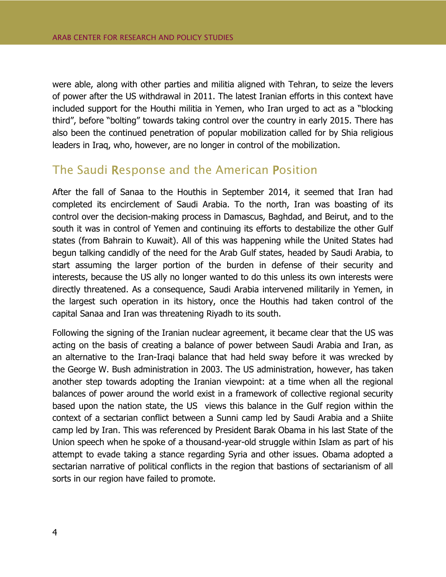were able, along with other parties and militia aligned with Tehran, to seize the levers of power after the US withdrawal in 2011. The latest Iranian efforts in this context have included support for the Houthi militia in Yemen, who Iran urged to act as a "blocking third", before "bolting" towards taking control over the country in early 2015. There has also been the continued penetration of popular mobilization called for by Shia religious leaders in Iraq, who, however, are no longer in control of the mobilization.

#### <span id="page-7-0"></span>The Saudi Response and the American Position

After the fall of Sanaa to the Houthis in September 2014, it seemed that Iran had completed its encirclement of Saudi Arabia. To the north, Iran was boasting of its control over the decision-making process in Damascus, Baghdad, and Beirut, and to the south it was in control of Yemen and continuing its efforts to destabilize the other Gulf states (from Bahrain to Kuwait). All of this was happening while the United States had begun talking candidly of the need for the Arab Gulf states, headed by Saudi Arabia, to start assuming the larger portion of the burden in defense of their security and interests, because the US ally no longer wanted to do this unless its own interests were directly threatened. As a consequence, Saudi Arabia intervened militarily in Yemen, in the largest such operation in its history, once the Houthis had taken control of the capital Sanaa and Iran was threatening Riyadh to its south.

Following the signing of the Iranian nuclear agreement, it became clear that the US was acting on the basis of creating a balance of power between Saudi Arabia and Iran, as an alternative to the Iran-Iraqi balance that had held sway before it was wrecked by the George W. Bush administration in 2003. The US administration, however, has taken another step towards adopting the Iranian viewpoint: at a time when all the regional balances of power around the world exist in a framework of collective regional security based upon the nation state, the US views this balance in the Gulf region within the context of a sectarian conflict between a Sunni camp led by Saudi Arabia and a Shiite camp led by Iran. This was referenced by President Barak Obama in his last State of the Union speech when he spoke of a thousand-year-old struggle within Islam as part of his attempt to evade taking a stance regarding Syria and other issues. Obama adopted a sectarian narrative of political conflicts in the region that bastions of sectarianism of all sorts in our region have failed to promote.